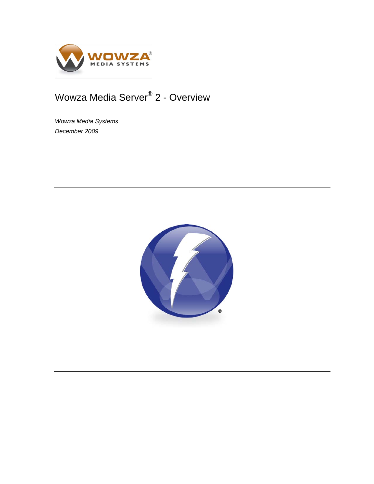

# Wowza Media Server® 2 - Overview

*Wowza Media Systems December 2009*

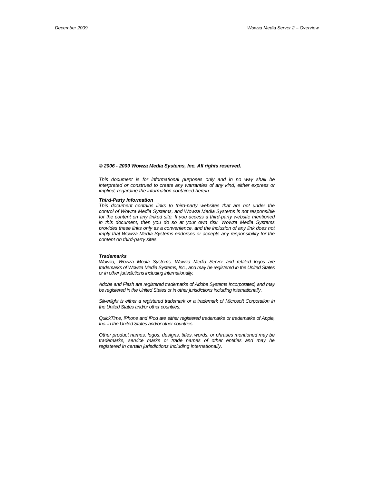#### *© 2006 - 2009 Wowza Media Systems, Inc. All rights reserved.*

*This document is for informational purposes only and in no way shall be interpreted or construed to create any warranties of any kind, either express or implied, regarding the information contained herein.*

#### *Third-Party Information*

*This document contains links to third-party websites that are not under the control of Wowza Media Systems, and Wowza Media Systems is not responsible for the content on any linked site. If you access a third-party website mentioned in this document, then you do so at your own risk. Wowza Media Systems provides these links only as a convenience, and the inclusion of any link does not imply that Wowza Media Systems endorses or accepts any responsibility for the content on third-party sites*

#### *Trademarks*

*Wowza, Wowza Media Systems, Wowza Media Server and related logos are trademarks of Wowza Media Systems, Inc., and may be registered in the United States or in other jurisdictions including internationally.*

*Adobe and Flash are registered trademarks of Adobe Systems Incorporated, and may be registered in the United States or in other jurisdictions including internationally.* 

Silverlight is either a registered trademark or a trademark of Microsoft Corporation in *the United States and/or other countries.*

*QuickTime, iPhone and iPod are either registered trademarks or trademarks of Apple, Inc. in the United States and/or other countries.*

*Other product names, logos, designs, titles, words, or phrases mentioned may be trademarks, service marks or trade names of other entities and may be registered in certain jurisdictions including internationally.*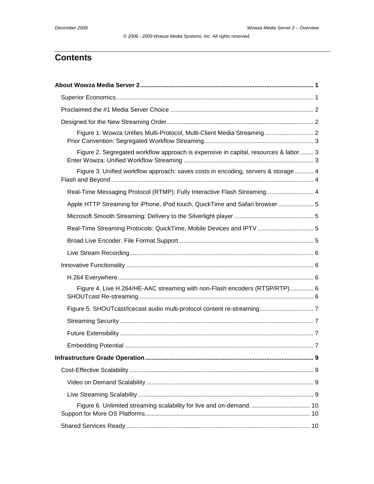*© 2006 - 2009 Wowza Media Systems, Inc. All rights reserved.*

# **Contents**

| Figure 1. Wowza Unifies Multi-Protocol, Multi-Client Media Streaming 2               |  |
|--------------------------------------------------------------------------------------|--|
| Figure 2. Segregated workflow approach is expensive in capital, resources & labor  3 |  |
| Figure 3. Unified workflow approach: saves costs in encoding, servers & storage  4   |  |
| Real-Time Messaging Protocol (RTMP): Fully Interactive Flash Streaming 4             |  |
| Apple HTTP Streaming for iPhone, iPod touch, QuickTime and Safari browser 5          |  |
|                                                                                      |  |
| Real-Time Streaming Protocols: QuickTime, Mobile Devices and IPTV  5                 |  |
|                                                                                      |  |
|                                                                                      |  |
|                                                                                      |  |
|                                                                                      |  |
| Figure 4. Live H.264/HE-AAC streaming with non-Flash encoders (RTSP/RTP) 6           |  |
|                                                                                      |  |
|                                                                                      |  |
|                                                                                      |  |
|                                                                                      |  |
|                                                                                      |  |
|                                                                                      |  |
|                                                                                      |  |
|                                                                                      |  |
| Figure 6. Unlimited streaming scalability for live and on-demand 10                  |  |
|                                                                                      |  |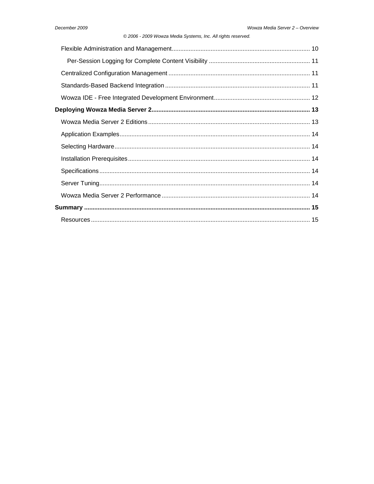### © 2006 - 2009 Wowza Media Systems, Inc. All rights reserved.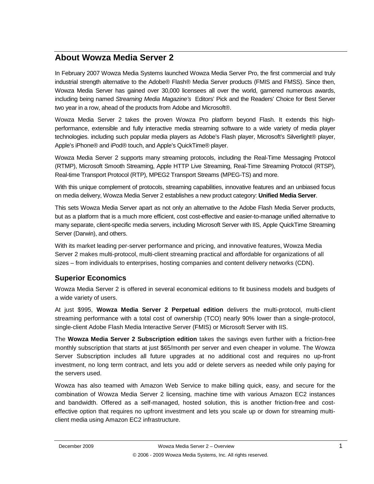# <span id="page-4-0"></span>**About Wowza Media Server 2**

In February 2007 Wowza Media Systems launched Wowza Media Server Pro, the first commercial and truly industrial strength alternative to the Adobe® Flash® Media Server products (FMIS and FMSS). Since then, Wowza Media Server has gained over 30,000 licensees all over the world, garnered numerous awards, including being named *Streaming Media Magazine's* Editors' Pick and the Readers' Choice for Best Server two year in a row, ahead of the products from Adobe and Microsoft®.

Wowza Media Server 2 takes the proven Wowza Pro platform beyond Flash. It extends this highperformance, extensible and fully interactive media streaming software to a wide variety of media player technologies. including such popular media players as Adobe's Flash player, Microsoft's Silverlight® player, Apple's iPhone® and iPod® touch, and Apple's QuickTime® player.

Wowza Media Server 2 supports many streaming protocols, including the Real-Time Messaging Protocol (RTMP), Microsoft Smooth Streaming, Apple HTTP Live Streaming, Real-Time Streaming Protocol (RTSP), Real-time Transport Protocol (RTP), MPEG2 Transport Streams (MPEG-TS) and more.

With this unique complement of protocols, streaming capabilities, innovative features and an unbiased focus on media delivery, Wowza Media Server 2 establishes a new product category: **Unified Media Server**.

This sets Wowza Media Server apart as not only an alternative to the Adobe Flash Media Server products, but as a platform that is a much more efficient, cost cost-effective and easier-to-manage unified alternative to many separate, client-specific media servers, including Microsoft Server with IIS, Apple QuickTime Streaming Server (Darwin), and others.

With its market leading per-server performance and pricing, and innovative features, Wowza Media Server 2 makes multi-protocol, multi-client streaming practical and affordable for organizations of all sizes – from individuals to enterprises, hosting companies and content delivery networks (CDN).

# <span id="page-4-1"></span>**Superior Economics**

Wowza Media Server 2 is offered in several economical editions to fit business models and budgets of a wide variety of users.

At just \$995, **Wowza Media Server 2 Perpetual edition** delivers the multi-protocol, multi-client streaming performance with a total cost of ownership (TCO) nearly 90% lower than a single-protocol, single-client Adobe Flash Media Interactive Server (FMIS) or Microsoft Server with IIS.

The **Wowza Media Server 2 Subscription edition** takes the savings even further with a friction-free monthly subscription that starts at just \$65/month per server and even cheaper in volume. The Wowza Server Subscription includes all future upgrades at no additional cost and requires no up-front investment, no long term contract, and lets you add or delete servers as needed while only paying for the servers used.

Wowza has also teamed with Amazon Web Service to make billing quick, easy, and secure for the combination of Wowza Media Server 2 licensing, machine time with various Amazon EC2 instances and bandwidth. Offered as a self-managed, hosted solution, this is another friction-free and costeffective option that requires no upfront investment and lets you scale up or down for streaming multiclient media using Amazon EC2 infrastructure.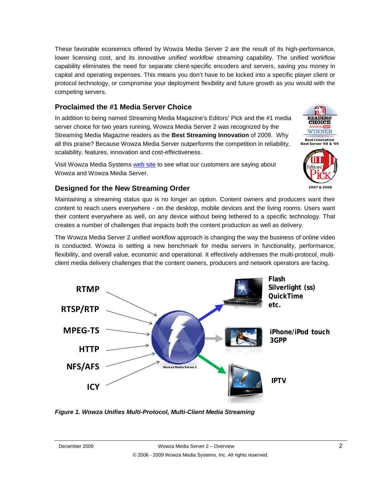These favorable economics offered by Wowza Media Server 2 are the result of its high-performance, lower licensing cost, and its innovative *unified workflow streaming* capability. The unified workflow capability eliminates the need for separate client-specific encoders and servers, saving you money in capital and operating expenses. This means you don't have to be locked into a specific player client or protocol technology, or compromise your deployment flexibility and future growth as you would with the competing servers.

# <span id="page-5-0"></span>**Proclaimed the #1 Media Server Choice**

In addition to being named Streaming Media Magazine's Editors' Pick and the #1 media server choice for two years running, Wowza Media Server 2 was recognized by the Streaming Media Magazine readers as the **Best Streaming Innovation** of 2009. Why all this praise? Because Wowza Media Server outperforms the competition in reliability, scalability, features, innovation and cost-effectiveness.

Visit Wowza Media Systems [web site](http://www.wowzamedia.com/testimonials.html) to see what our customers are saying about Wowza and Wowza Media Server.



# <span id="page-5-1"></span>**Designed for the New Streaming Order**

Maintaining a streaming status quo is no longer an option. Content owners and producers want their content to reach users everywhere - on the desktop, mobile devices and the living rooms. Users want their content everywhere as well, on any device without being tethered to a specific technology. That creates a number of challenges that impacts both the content production as well as delivery.

The Wowza Media Server 2 unified workflow approach is changing the way the business of online video is conducted. Wowza is setting a new benchmark for media servers in functionality, performance, flexibility, and overall value, economic and operational. It effectively addresses the multi-protocol, multiclient media delivery challenges that the content owners, producers and network operators are facing.



<span id="page-5-2"></span>*Figure 1. Wowza Unifies Multi-Protocol, Multi-Client Media Streaming*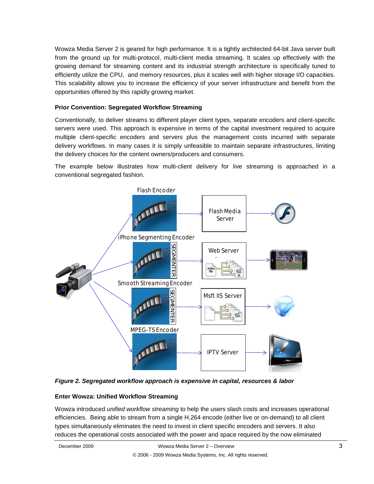Wowza Media Server 2 is geared for high performance. It is a tightly architected 64-bit Java server built from the ground up for multi-protocol, multi-client media streaming. It scales up effectively with the growing demand for streaming content and its industrial strength architecture is specifically tuned to efficiently utilize the CPU, and memory resources, plus it scales well with higher storage I/O capacities. This scalability allows you to increase the efficiency of your server infrastructure and benefit from the opportunities offered by this rapidly growing market.

### <span id="page-6-0"></span>**Prior Convention: Segregated Workflow Streaming**

Conventionally, to deliver streams to different player client types, separate encoders and client-specific servers were used. This approach is expensive in terms of the capital investment required to acquire multiple client-specific encoders and servers plus the management costs incurred with separate delivery workflows. In many cases it is simply unfeasible to maintain separate infrastructures, limiting the delivery choices for the content owners/producers and consumers.

The example below illustrates how multi-client delivery for live streaming is approached in a conventional segregated fashion.



<span id="page-6-1"></span>*Figure 2. Segregated workflow approach is expensive in capital, resources & labor*

### <span id="page-6-2"></span>**Enter Wowza: Unified Workflow Streaming**

Wowza introduced *unified workflow streaming* to help the users slash costs and increases operational efficiencies. Being able to stream from a single H.264 encode (either live or on-demand) to all client types simultaneously eliminates the need to invest in client specific encoders and servers. It also reduces the operational costs associated with the power and space required by the now eliminated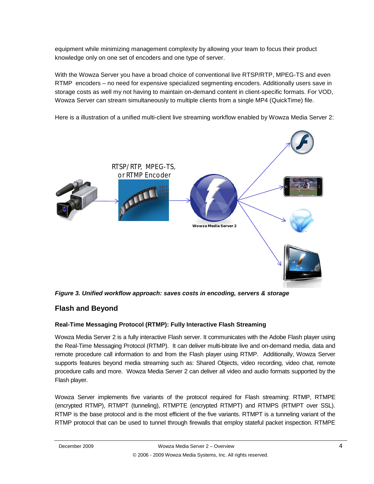equipment while minimizing management complexity by allowing your team to focus their product knowledge only on one set of encoders and one type of server.

With the Wowza Server you have a broad choice of conventional live RTSP/RTP, MPEG-TS and even RTMP encoders – no need for expensive specialized segmenting encoders. Additionally users save in storage costs as well my not having to maintain on-demand content in client-specific formats. For VOD, Wowza Server can stream simultaneously to multiple clients from a single MP4 (QuickTime) file.

Here is a illustration of a unified multi-client live streaming workflow enabled by Wowza Media Server 2:



<span id="page-7-0"></span>*Figure 3. Unified workflow approach: saves costs in encoding, servers & storage*

# <span id="page-7-1"></span>**Flash and Beyond**

### <span id="page-7-2"></span>**Real-Time Messaging Protocol (RTMP): Fully Interactive Flash Streaming**

Wowza Media Server 2 is a fully interactive Flash server. It communicates with the Adobe Flash player using the Real-Time Messaging Protocol (RTMP). It can deliver multi-bitrate live and on-demand media, data and remote procedure call information to and from the Flash player using RTMP. Additionally, Wowza Server supports features beyond media streaming such as: Shared Objects, video recording, video chat, remote procedure calls and more. Wowza Media Server 2 can deliver all video and audio formats supported by the Flash player.

Wowza Server implements five variants of the protocol required for Flash streaming: RTMP, RTMPE (encrypted RTMP), RTMPT (tunneling), RTMPTE (encrypted RTMPT) and RTMPS (RTMPT over SSL). RTMP is the base protocol and is the most efficient of the five variants. RTMPT is a tunneling variant of the RTMP protocol that can be used to tunnel through firewalls that employ stateful packet inspection. RTMPE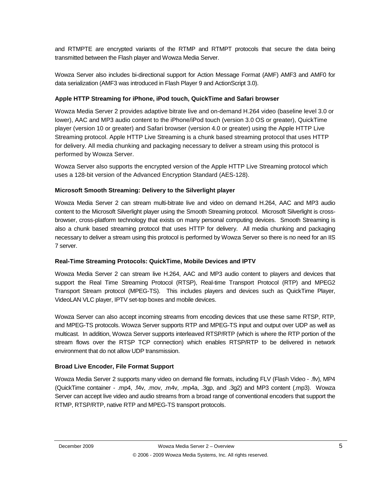and RTMPTE are encrypted variants of the RTMP and RTMPT protocols that secure the data being transmitted between the Flash player and Wowza Media Server.

Wowza Server also includes bi-directional support for Action Message Format (AMF) AMF3 and AMF0 for data serialization (AMF3 was introduced in Flash Player 9 and ActionScript 3.0).

### <span id="page-8-0"></span>**Apple HTTP Streaming for iPhone, iPod touch, QuickTime and Safari browser**

Wowza Media Server 2 provides adaptive bitrate live and on-demand H.264 video (baseline level 3.0 or lower), AAC and MP3 audio content to the iPhone/iPod touch (version 3.0 OS or greater), QuickTime player (version 10 or greater) and Safari browser (version 4.0 or greater) using the Apple HTTP Live Streaming protocol. Apple HTTP Live Streaming is a chunk based streaming protocol that uses HTTP for delivery. All media chunking and packaging necessary to deliver a stream using this protocol is performed by Wowza Server.

Wowza Server also supports the encrypted version of the Apple HTTP Live Streaming protocol which uses a 128-bit version of the Advanced Encryption Standard (AES-128).

### <span id="page-8-1"></span>**Microsoft Smooth Streaming: Delivery to the Silverlight player**

Wowza Media Server 2 can stream multi-bitrate live and video on demand H.264, AAC and MP3 audio content to the Microsoft Silverlight player using the Smooth Streaming protocol. Microsoft Silverlight is crossbrowser, cross-platform technology that exists on many personal computing devices. Smooth Streaming is also a chunk based streaming protocol that uses HTTP for delivery. All media chunking and packaging necessary to deliver a stream using this protocol is performed by Wowza Server so there is no need for an IIS 7 server.

### <span id="page-8-2"></span>**Real-Time Streaming Protocols: QuickTime, Mobile Devices and IPTV**

Wowza Media Server 2 can stream live H.264, AAC and MP3 audio content to players and devices that support the Real Time Streaming Protocol (RTSP), Real-time Transport Protocol (RTP) and MPEG2 Transport Stream protocol (MPEG-TS). This includes players and devices such as QuickTime Player, VideoLAN VLC player, IPTV set-top boxes and mobile devices.

Wowza Server can also accept incoming streams from encoding devices that use these same RTSP, RTP, and MPEG-TS protocols. Wowza Server supports RTP and MPEG-TS input and output over UDP as well as multicast. In addition, Wowza Server supports interleaved RTSP/RTP (which is where the RTP portion of the stream flows over the RTSP TCP connection) which enables RTSP/RTP to be delivered in network environment that do not allow UDP transmission.

### <span id="page-8-3"></span>**Broad Live Encoder, File Format Support**

Wowza Media Server 2 supports many video on demand file formats, including FLV (Flash Video - .flv), MP4 (QuickTime container - .mp4, .f4v, .mov, .m4v, .mp4a, .3gp, and .3g2) and MP3 content (.mp3). Wowza Server can accept live video and audio streams from a broad range of conventional encoders that support the RTMP, RTSP/RTP, native RTP and MPEG-TS transport protocols.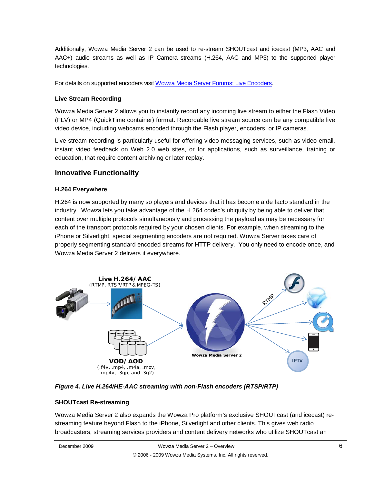Additionally, Wowza Media Server 2 can be used to re-stream SHOUTcast and icecast (MP3, AAC and AAC+) audio streams as well as IP Camera streams (H.264, AAC and MP3) to the supported player technologies.

<span id="page-9-0"></span>For details on supported encoders visi[t Wowza Media Server Forums: Live Encoders.](http://www.wowzamedia.com/forums/forumdisplay.php?f=24)

### **Live Stream Recording**

Wowza Media Server 2 allows you to instantly record any incoming live stream to either the Flash Video (FLV) or MP4 (QuickTime container) format. Recordable live stream source can be any compatible live video device, including webcams encoded through the Flash player, encoders, or IP cameras.

Live stream recording is particularly useful for offering video messaging services, such as video email, instant video feedback on Web 2.0 web sites, or for applications, such as surveillance, training or education, that require content archiving or later replay.

## <span id="page-9-1"></span>**Innovative Functionality**

### <span id="page-9-2"></span>**H.264 Everywhere**

H.264 is now supported by many so players and devices that it has become a de facto standard in the industry. Wowza lets you take advantage of the H.264 codec's ubiquity by being able to deliver that content over multiple protocols simultaneously and processing the payload as may be necessary for each of the transport protocols required by your chosen clients. For example, when streaming to the iPhone or Silverlight, special segmenting encoders are not required. Wowza Server takes care of properly segmenting standard encoded streams for HTTP delivery. You only need to encode once, and Wowza Media Server 2 delivers it everywhere.



<span id="page-9-3"></span>*Figure 4. Live H.264/HE-AAC streaming with non-Flash encoders (RTSP/RTP)*

### <span id="page-9-4"></span>**SHOUTcast Re-streaming**

Wowza Media Server 2 also expands the Wowza Pro platform's exclusive SHOUTcast (and icecast) restreaming feature beyond Flash to the iPhone, Silverlight and other clients. This gives web radio broadcasters, streaming services providers and content delivery networks who utilize SHOUTcast an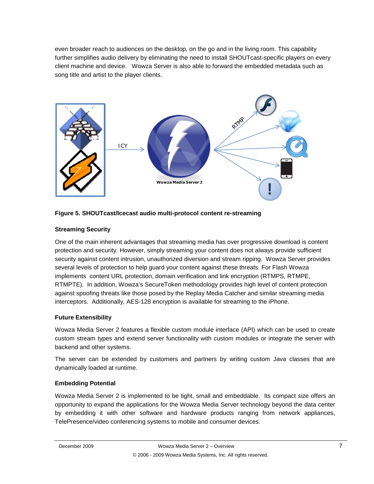even broader reach to audiences on the desktop, on the go and in the living room. This capability further simplifies audio delivery by eliminating the need to install SHOUTcast-specific players on every client machine and device. Wowza Server is also able to forward the embedded metadata such as song title and artist to the player clients.



<span id="page-10-0"></span>

### <span id="page-10-1"></span>**Streaming Security**

One of the main inherent advantages that streaming media has over progressive download is content protection and security. However, simply streaming your content does not always provide sufficient security against content intrusion, unauthorized diversion and stream ripping. Wowza Server provides several levels of protection to help guard your content against these threats. For Flash Wowza implements content URL protection, domain verification and link encryption (RTMPS, RTMPE, RTMPTE). In addition, Wowza's SecureToken methodology provides high level of content protection against spoofing threats like those posed by the Replay Media Catcher and similar streaming media interceptors. Additionally, AES-128 encryption is available for streaming to the iPhone.

### <span id="page-10-2"></span>**Future Extensibility**

Wowza Media Server 2 features a flexible custom module interface (API) which can be used to create custom stream types and extend server functionality with custom modules or integrate the server with backend and other systems.

The server can be extended by customers and partners by writing custom Java classes that are dynamically loaded at runtime.

### <span id="page-10-3"></span>**Embedding Potential**

Wowza Media Server 2 is implemented to be tight, small and embeddable. Its compact size offers an opportunity to expand the applications for the Wowza Media Server technology beyond the data center by embedding it with other software and hardware products ranging from network appliances, TelePresence/video conferencing systems to mobile and consumer devices.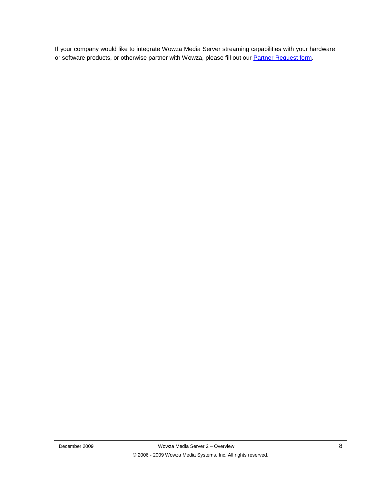If your company would like to integrate Wowza Media Server streaming capabilities with your hardware or software products, or otherwise partner with Wowza, please fill out our **Partner Request form**.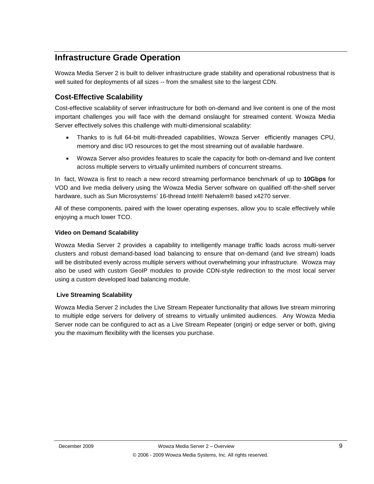# <span id="page-12-0"></span>**Infrastructure Grade Operation**

Wowza Media Server 2 is built to deliver infrastructure grade stability and operational robustness that is well suited for deployments of all sizes -- from the smallest site to the largest CDN.

# <span id="page-12-1"></span>**Cost-Effective Scalability**

Cost-effective scalability of server infrastructure for both on-demand and live content is one of the most important challenges you will face with the demand onslaught for streamed content. Wowza Media Server effectively solves this challenge with multi-dimensional scalability:

- Thanks to is full 64-bit multi-threaded capabilities, Wowza Server efficiently manages CPU, memory and disc I/O resources to get the most streaming out of available hardware.
- Wowza Server also provides features to scale the capacity for both on-demand and live content across multiple servers to virtually unlimited numbers of concurrent streams.

In fact, Wowza is first to reach a new record streaming performance benchmark of up to **10Gbps** for VOD and live media delivery using the Wowza Media Server software on qualified off-the-shelf server hardware, such as Sun Microsystems' 16-thread Intel® Nehalem® based x4270 server.

All of these components, paired with the lower operating expenses, allow you to scale effectively while enjoying a much lower TCO.

### <span id="page-12-2"></span>**Video on Demand Scalability**

Wowza Media Server 2 provides a capability to intelligently manage traffic loads across multi-server clusters and robust demand-based load balancing to ensure that on-demand (and live stream) loads will be distributed evenly across multiple servers without overwhelming your infrastructure. Wowza may also be used with custom GeoIP modules to provide CDN-style redirection to the most local server using a custom developed load balancing module.

### <span id="page-12-3"></span>**Live Streaming Scalability**

Wowza Media Server 2 includes the Live Stream Repeater functionality that allows live stream mirroring to multiple edge servers for delivery of streams to virtually unlimited audiences. Any Wowza Media Server node can be configured to act as a Live Stream Repeater (origin) or edge server or both, giving you the maximum flexibility with the licenses you purchase.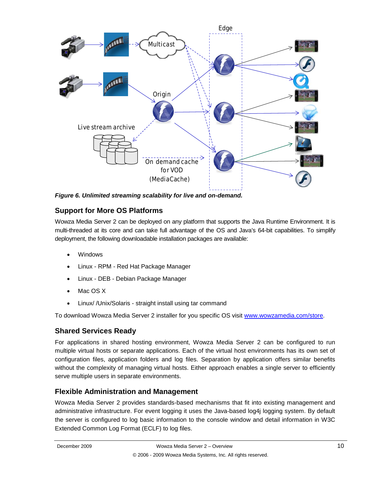

<span id="page-13-0"></span>*Figure 6. Unlimited streaming scalability for live and on-demand.*

# <span id="page-13-1"></span>**Support for More OS Platforms**

Wowza Media Server 2 can be deployed on any platform that supports the Java Runtime Environment. It is multi-threaded at its core and can take full advantage of the OS and Java's 64-bit capabilities. To simplify deployment, the following downloadable installation packages are available:

- Windows
- Linux RPM Red Hat Package Manager
- Linux DEB Debian Package Manager
- Mac OS X
- Linux/ /Unix/Solaris straight install using tar command

To download Wowza Media Server 2 installer for you specific OS visit [www.wowzamedia.com/store.](http://www.wowzamedia.com/store)

# <span id="page-13-2"></span>**Shared Services Ready**

For applications in shared hosting environment, Wowza Media Server 2 can be configured to run multiple virtual hosts or separate applications. Each of the virtual host environments has its own set of configuration files, application folders and log files. Separation by application offers similar benefits without the complexity of managing virtual hosts. Either approach enables a single server to efficiently serve multiple users in separate environments.

# <span id="page-13-3"></span>**Flexible Administration and Management**

Wowza Media Server 2 provides standards-based mechanisms that fit into existing management and administrative infrastructure. For event logging it uses the Java-based log4j logging system. By default the server is configured to log basic information to the console window and detail information in W3C Extended Common Log Format (ECLF) to log files.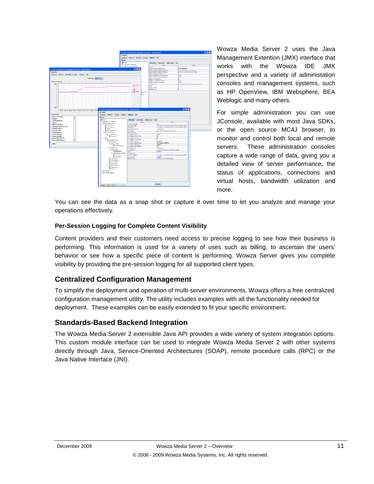

Wowza Media Server 2 uses the Java Management Extention (JMX) interface that works with the Wowza IDE JMX perspective and a variety of administation consoles and management systems, such as HP OpenView, IBM Websphere, BEA Weblogic and many others.

For simple administration you can use JConsole, available with most Java SDKs, or the open source MC4J browser, to monitor and control both local and remote servers. These administration consoles capture a wide range of data, giving you a detailed view of server performance, the status of applications, connections and virtual hosts, bandwidth utilization and more.

You can see the data as a snap shot or capture it over time to let you analyze and manage your operations effectively.

### <span id="page-14-0"></span>**Per-Session Logging for Complete Content Visibility**

Content providers and their customers need access to precise logging to see how their business is performing. This information is used for a variety of uses such as billing, to ascertain the users' behavior or see how a specific piece of content is performing. Wowza Server gives you complete visibility by providing the pre-session logging for all supported client types.

# <span id="page-14-1"></span>**Centralized Configuration Management**

To simplify the deployment and operation of multi-server environments, Wowza offers a free centralized configuration management utility. The utility includes examples with all the functionality needed for deployment. These examples can be easily extended to fit your specific environment.

### <span id="page-14-2"></span>**Standards-Based Backend Integration**

The Wowza Media Server 2 extensible Java API provides a wide variety of system integration options. This custom module interface can be used to integrate Wowza Media Server 2 with other systems directly through Java, Service-Oriented Architectures (SOAP), remote procedure calls (RPC) or the Java Native Interface (JNI).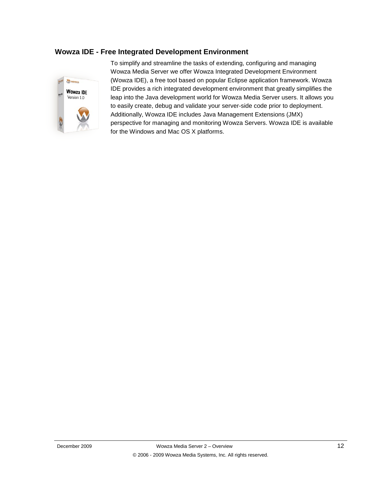# <span id="page-15-0"></span>**Wowza IDE - Free Integrated Development Environment**



To simplify and streamline the tasks of extending, configuring and managing Wowza Media Server we offer Wowza Integrated Development Environment (Wowza IDE), a free tool based on popular Eclipse application framework. Wowza IDE provides a rich integrated development environment that greatly simplifies the leap into the Java development world for Wowza Media Server users. It allows you to easily create, debug and validate your server-side code prior to deployment. Additionally, Wowza IDE includes Java Management Extensions (JMX) perspective for managing and monitoring Wowza Servers. Wowza IDE is available for the Windows and Mac OS X platforms.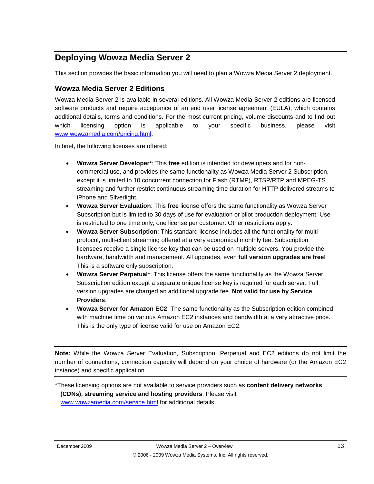# <span id="page-16-0"></span>**Deploying Wowza Media Server 2**

This section provides the basic information you will need to plan a Wowza Media Server 2 deployment.

## <span id="page-16-1"></span>**Wowza Media Server 2 Editions**

Wowza Media Server 2 is available in several editions. All Wowza Media Server 2 editions are licensed software products and require acceptance of an end user license agreement (EULA), which contains additional details, terms and conditions. For the most current pricing, volume discounts and to find out which licensing option is applicable to your specific business, please visit [www.wowzamedia.com/pricing.html.](http://www.wowzamedia.com/pricing.html)

In brief, the following licenses are offered:

- **Wowza Server Developer\***: This **free** edition is intended for developers and for noncommercial use, and provides the same functionality as Wowza Media Server 2 Subscription, except it is limited to 10 concurrent connection for Flash (RTMP), RTSP/RTP and MPEG-TS streaming and further restrict continuous streaming time duration for HTTP delivered streams to iPhone and Silverlight.
- **Wowza Server Evaluation**: This **free** license offers the same functionality as Wowza Server Subscription but is limited to 30 days of use for evaluation or pilot production deployment. Use is restricted to one time only, one license per customer. Other restrictions apply.
- **Wowza Server Subscription**: This standard license includes all the functionality for multiprotocol, multi-client streaming offered at a very economical monthly fee. Subscription licensees receive a single license key that can be used on multiple servers. You provide the hardware, bandwidth and management. All upgrades, even **full version upgrades are free!** This is a software only subscription.
- **Wowza Server Perpetual\***: This license offers the same functionality as the Wowza Server Subscription edition except a separate unique license key is required for each server. Full version upgrades are charged an additional upgrade fee. **Not valid for use by Service Providers**.
- **Wowza Server for Amazon EC2**: The same functionality as the Subscription edition combined with machine time on various Amazon EC2 instances and bandwidth at a very attractive price. This is the only type of license valid for use on Amazon EC2.

**Note:** While the Wowza Server Evaluation, Subscription, Perpetual and EC2 editions do not limit the number of connections, connection capacity will depend on your choice of hardware (or the Amazon EC2 instance) and specific application.

\*These licensing options are not available to service providers such as **content delivery networks (CDNs), streaming service and hosting providers**. Please visit [www.wowzamedia.com/service.html](http://www.wowzamedia.com/service.html) for additional details.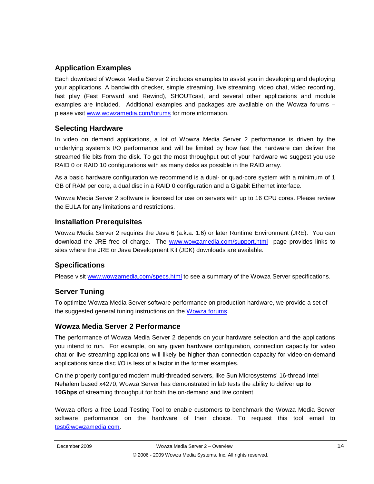# <span id="page-17-0"></span>**Application Examples**

Each download of Wowza Media Server 2 includes examples to assist you in developing and deploying your applications. A bandwidth checker, simple streaming, live streaming, video chat, video recording, fast play (Fast Forward and Rewind), SHOUTcast, and several other applications and module examples are included. Additional examples and packages are available on the Wowza forums – please visit [www.wowzamedia.com/forums](http://www.wowzamedia.com/forums) for more information.

# <span id="page-17-1"></span>**Selecting Hardware**

In video on demand applications, a lot of Wowza Media Server 2 performance is driven by the underlying system's I/O performance and will be limited by how fast the hardware can deliver the streamed file bits from the disk. To get the most throughput out of your hardware we suggest you use RAID 0 or RAID 10 configurations with as many disks as possible in the RAID array.

As a basic hardware configuration we recommend is a dual- or quad-core system with a minimum of 1 GB of RAM per core, a dual disc in a RAID 0 configuration and a Gigabit Ethernet interface.

Wowza Media Server 2 software is licensed for use on servers with up to 16 CPU cores. Please review the EULA for any limitations and restrictions.

# <span id="page-17-2"></span>**Installation Prerequisites**

Wowza Media Server 2 requires the Java 6 (a.k.a. 1.6) or later Runtime Environment (JRE). You can download the JRE free of charge. The [www.wowzamedia.com/support.html](http://www.wowzamedia.com/support.html) page provides links to sites where the JRE or Java Development Kit (JDK) downloads are available.

# <span id="page-17-3"></span>**Specifications**

Please visit [www.wowzamedia.com/specs.html](http://www.wowzamedia.com/specs.html) to see a summary of the Wowza Server specifications.

# <span id="page-17-4"></span>**Server Tuning**

To optimize Wowza Media Server software performance on production hardware, we provide a set of the suggested general tuning instructions on the [Wowza forums.](http://www.wowzamedia.com/forums)

# <span id="page-17-5"></span>**Wowza Media Server 2 Performance**

The performance of Wowza Media Server 2 depends on your hardware selection and the applications you intend to run. For example, on any given hardware configuration, connection capacity for video chat or live streaming applications will likely be higher than connection capacity for video-on-demand applications since disc I/O is less of a factor in the former examples.

On the properly configured modern multi-threaded servers, like Sun Microsystems' 16-thread Intel Nehalem based x4270, Wowza Server has demonstrated in lab tests the ability to deliver **up to 10Gbps** of streaming throughput for both the on-demand and live content.

Wowza offers a free Load Testing Tool to enable customers to benchmark the Wowza Media Server software performance on the hardware of their choice. To request this tool email to [test@wowzamedia.com.](mailto:test@wowzamedia.com)